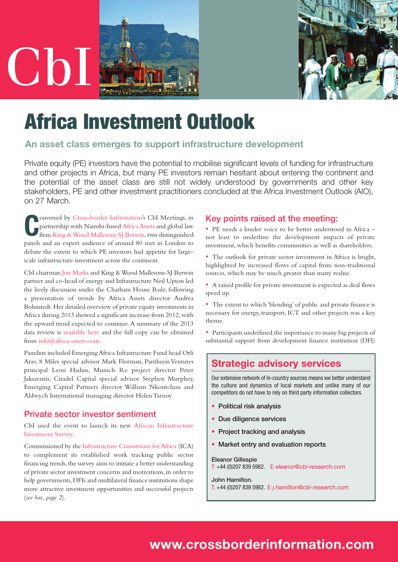



# **Africa Investment Outlook**

# **An asset class emerges to support infrastructure development**

Private equity (PE) investors have the potential to mobilise significant levels of funding for infrastructure and other projects in Africa, but many PE investors remain hesitant about entering the continent and the potential of the asset class are still not widely understood by governments and other key stakeholders, PE and other investment practitioners concluded at the Africa Investment Outlook (AIO), on 27 March.

**C**onvened by [Cross-border](http://www.crossborderinformation.com) Information's CbI Meetings, in<br>
partnership with Nairobi-based Africa Assets and global law<br>
firm King & Wood Mallesons SJ Berwin, two distinguished partnership with Nairobi-based Africa Assets and global law firm King & Wood [Mallesons](http://www.sjberwin.com) SJ Berwin, two distinguished panels and an expert audience of around 80 met in London to debate the extent to which PE investors had appetite for largescale infrastructure investment across the continent.

CbI chairman Jon [Marks](http://www.crossborderinformation.com/who-we-are/our-team/jon-marks) and King & Wood Mallesons-SJ Berwin partner and co-head of energy and Infrastructure Neil Upton led the lively discussion under the Chatham House Rule, following a presentation of trends by Africa Assets director Andrea Bohnstedt.Her detailed overview of private equity investments in Africa during 2013 showed a significant increase from 2012, with the upward trend expected to continue.A summary of the 2013 data review is [available](http://www.africa-assets.com/news/2013-private-equity-confidence-survey-seeking-clarity-and-opportunities) here and the full copy can be obtained from [info@africa-assets.com.](mailto:info@africa-assets.com)

Panelists included EmergingAfrica Infrastructure Fund head Orli Arav, 8 Miles special advisor Mark Florman, Pantheon Ventures principal Leon Hadass, Munich Re project director Peter Jakszentis, Citadel Capital special advisor Stephen Murphey, Emerging Capital Partners director William Nkontchou and Aldwych International managing director HelenTarnoy

# **Private sector investor sentiment**

CbI used the event to launch its new African [Infrastructure](http://www.crossborderinformation.com/what-we-do/consultancy/african-infrastructure-investment-survey) [Investment](http://www.crossborderinformation.com/what-we-do/consultancy/african-infrastructure-investment-survey) Survey.

Commissioned by the [Infrastructure](http://www.icafrica.org/en) Consortium forAfrica (ICA) to complement its established work tracking public sector financing trends, the survey aims to initiate a better understanding of private sector investment concerns and motivations, in order to help governments,DFIs and multilateral finance institutions shape more attractive investment opportunities and successful projects (*see box, page 2*).

### **Key points raised at the meeting:**

• PE needs a louder voice to be better understood in Africa – not least to underline the development impacts of private investment, which benefits communities as well as shareholders.

• The outlook for private sector investment in Africa is bright, highlighted by increased flows of capital from non-traditional sources, which may be much greater than many realise.

• A raised profile for private investment is expected as deal flows speed up.

• The extent to which 'blending' of public and private finance is necessary for energy, transport, ICT and other projects was a key theme.

• Participants underlined the importance to many big projects of substantial support from development finance institution (DFI)

# **Strategic advisory services**

Our extensive network of in-country sources means we better understand the culture and dynamics of local markets and unlike many of our competitors do not have to rely on third party information collectors.

- **• Political risk analysis**
- **• Due diligence services**
- **• Project tracking and analysis**
- **• Market entry and evaluation reports**

#### **Eleanor [Gillespie](http://www.crossborderinformation.com/eleanor-gillespie)**

T: +44 (0)207 839 5982. E: *[eleanor@cbi-research.com](mailto:eleanor@cbi-research.com)*

**John [Hamilton.](http://www.crossborderinformation.com/who-we-are/our-team/john-hamilton)**

T: +44 (0)207 839 5982. E: *[j.hamilton@cbi-research.com](mailto:j.hamilton@cbi-research.com)*

# **[www.crossborderinformation.com](http://www.crossborderinformation.com)**